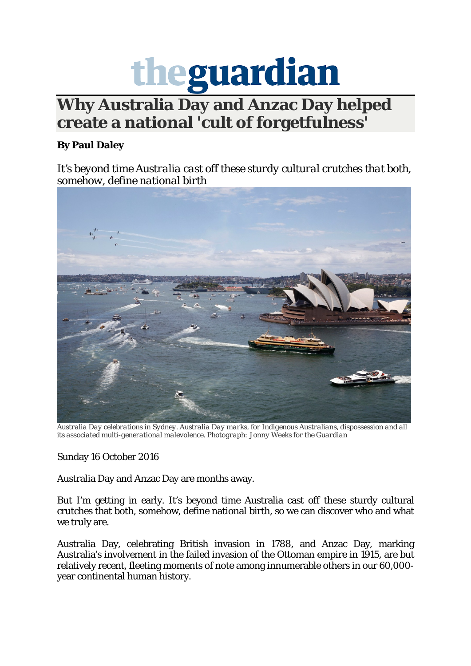

## **Why Australia Day and Anzac Day helped create a national 'cult of forgetfulness'**

## **By Paul Daley**

*It's beyond time Australia cast off these sturdy cultural crutches that both, [somehow, define national birth](https://www.theguardian.com/australia-news/postcolonial-blog/2016/oct/16/why-australia-day-and-anzac-day-helped-create-a-national-cult-of-forgetfulness#img-1)*



*Australia Day celebrations in Sydney. Australia Day marks, for Indigenous Australians, dispossession and all its associated multi-generational malevolence. Photograph: Jonny Weeks for the Guardian*

Sunday 16 October 2016

Australia Day and Anzac Day are months away.

But I'm getting in early. It's beyond time Australia cast off these sturdy cultural crutches that both, somehow, define national birth, so we can discover who and what we truly are.

Australia Day, celebrating British invasion in 1788, and Anzac Day, marking Australia's involvement in the failed invasion of the Ottoman empire in 1915, are but relatively recent, fleeting moments of note among innumerable others in our 60,000 year continental human history.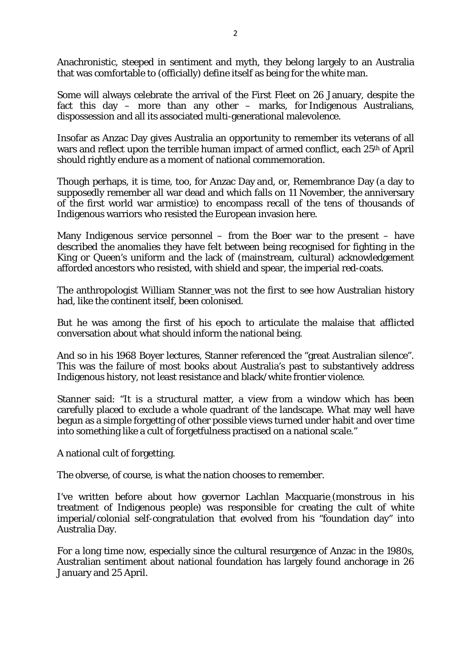Anachronistic, steeped in sentiment and myth, they belong largely to an Australia that was comfortable to (officially) define itself as being for the white man.

Some will always celebrate the arrival of the First Fleet on 26 January, despite the fact this day – more than any other – marks, for Indigenous Australians, dispossession and all its associated multi-generational malevolence.

Insofar as Anzac Day gives Australia an opportunity to remember its veterans of all wars and reflect upon the terrible human impact of armed conflict, each 25<sup>th</sup> of April should rightly endure as a moment of national commemoration.

Though perhaps, it is time, too, for Anzac Day and, or, Remembrance Day (a day to supposedly remember all war dead and which falls on 11 November, the anniversary of the first world war armistice) to encompass recall of the tens of thousands of Indigenous warriors who resisted the European invasion here.

Many Indigenous service personnel – from the Boer war to the present – have described the anomalies they have felt between being recognised for fighting in the King or Queen's uniform and the lack of (mainstream, cultural) acknowledgement afforded ancestors who resisted, with shield and spear, the imperial red-coats.

The anthropologist William Stanner was not the first to see how Australian history had, like the continent itself, been colonised.

But he was among the first of his epoch to articulate the malaise that afflicted conversation about what should inform the national being.

And so in his 1968 Boyer lectures, Stanner referenced the "great Australian silence". This was the failure of most books about Australia's past to substantively address Indigenous history, not least resistance and black/white frontier violence.

Stanner said: "It is a structural matter, a view from a window which has been carefully placed to exclude a whole quadrant of the landscape. What may well have begun as a simple forgetting of other possible views turned under habit and over time into something like a cult of forgetfulness practised on a national scale."

A national cult of forgetting.

The obverse, of course, is what the nation chooses to remember.

I've written before about how governor Lachlan Macquarie (monstrous in his treatment of Indigenous people) was responsible for creating the cult of white imperial/colonial self-congratulation that evolved from his "foundation day" into Australia Day.

For a long time now, especially since the cultural resurgence of Anzac in the 1980s, Australian sentiment about national foundation has largely found anchorage in 26 January and 25 April.